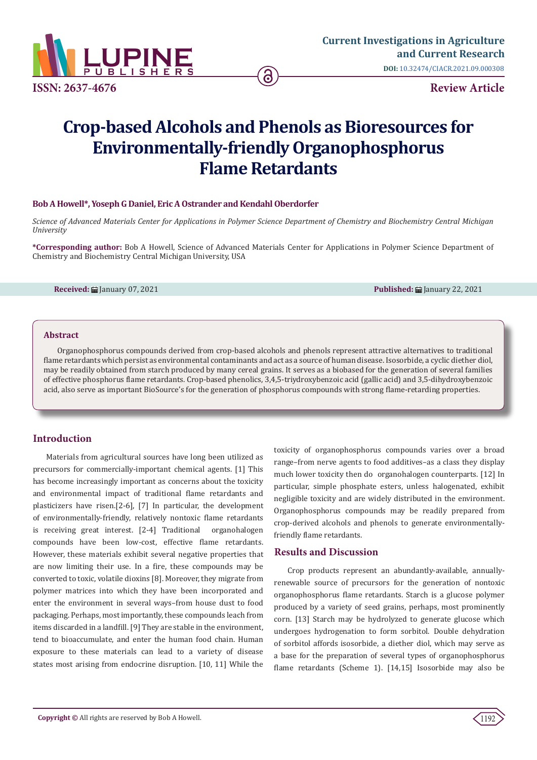

# **Crop-based Alcohols and Phenols as Bioresources for Environmentally-friendly Organophosphorus Flame Retardants**

### **Bob A Howell\*, Yoseph G Daniel, Eric A Ostrander and Kendahl Oberdorfer**

*Science of Advanced Materials Center for Applications in Polymer Science Department of Chemistry and Biochemistry Central Michigan University*

**\*Corresponding author:** Bob A Howell, Science of Advanced Materials Center for Applications in Polymer Science Department of Chemistry and Biochemistry Central Michigan University, USA

**Received:** January 07, 2021 **Published:** January 22, 2021

#### **Abstract**

Organophosphorus compounds derived from crop-based alcohols and phenols represent attractive alternatives to traditional flame retardants which persist as environmental contaminants and act as a source of human disease. Isosorbide, a cyclic diether diol, may be readily obtained from starch produced by many cereal grains. It serves as a biobased for the generation of several families of effective phosphorus flame retardants. Crop-based phenolics, 3,4,5-triydroxybenzoic acid (gallic acid) and 3,5-dihydroxybenzoic acid, also serve as important BioSource's for the generation of phosphorus compounds with strong flame-retarding properties.

## **Introduction**

Materials from agricultural sources have long been utilized as precursors for commercially-important chemical agents. [1] This has become increasingly important as concerns about the toxicity and environmental impact of traditional flame retardants and plasticizers have risen.[2-6], [7] In particular, the development of environmentally-friendly, relatively nontoxic flame retardants is receiving great interest. [2-4] Traditional organohalogen compounds have been low-cost, effective flame retardants. However, these materials exhibit several negative properties that are now limiting their use. In a fire, these compounds may be converted to toxic, volatile dioxins [8]. Moreover, they migrate from polymer matrices into which they have been incorporated and enter the environment in several ways–from house dust to food packaging. Perhaps, most importantly, these compounds leach from items discarded in a landfill. [9] They are stable in the environment, tend to bioaccumulate, and enter the human food chain. Human exposure to these materials can lead to a variety of disease states most arising from endocrine disruption. [10, 11] While the toxicity of organophosphorus compounds varies over a broad range–from nerve agents to food additives–as a class they display much lower toxicity then do organohalogen counterparts. [12] In particular, simple phosphate esters, unless halogenated, exhibit negligible toxicity and are widely distributed in the environment. Organophosphorus compounds may be readily prepared from crop-derived alcohols and phenols to generate environmentallyfriendly flame retardants.

## **Results and Discussion**

Crop products represent an abundantly-available, annuallyrenewable source of precursors for the generation of nontoxic organophosphorus flame retardants. Starch is a glucose polymer produced by a variety of seed grains, perhaps, most prominently corn. [13] Starch may be hydrolyzed to generate glucose which undergoes hydrogenation to form sorbitol. Double dehydration of sorbitol affords isosorbide, a diether diol, which may serve as a base for the preparation of several types of organophosphorus flame retardants (Scheme 1). [14,15] Isosorbide may also be

1192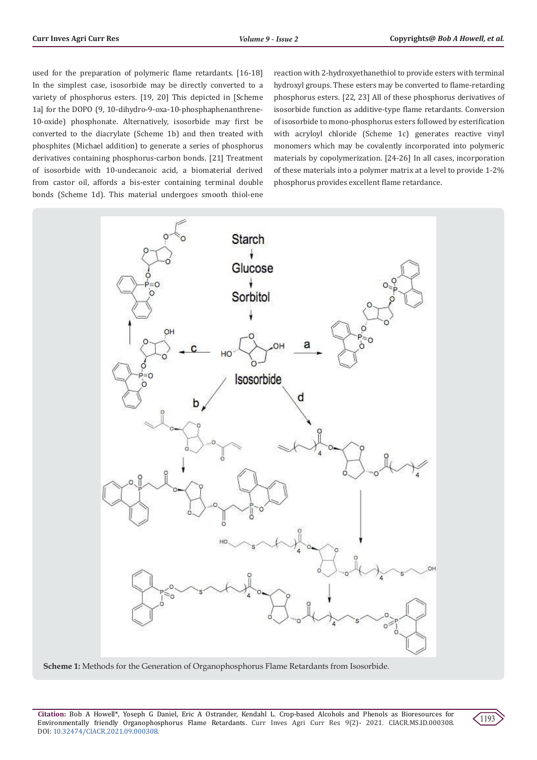used for the preparation of polymeric flame retardants. [16-18] In the simplest case, isosorbide may be directly converted to a variety of phosphorus esters. [19, 20] This depicted in [Scheme 1a] for the DOPO (9, 10-dihydro-9-oxa-10-phosphaphenanthrene-10-oxide) phosphonate. Alternatively, isosorbide may first be converted to the diacrylate (Scheme 1b) and then treated with phosphites (Michael addition) to generate a series of phosphorus derivatives containing phosphorus-carbon bonds. [21] Treatment of isosorbide with 10-undecanoic acid, a biomaterial derived from castor oil, affords a bis-ester containing terminal double bonds (Scheme 1d). This material undergoes smooth thiol-ene reaction with 2-hydroxyethanethiol to provide esters with terminal hydroxyl groups. These esters may be converted to flame-retarding phosphorus esters. [22, 23] All of these phosphorus derivatives of isosorbide function as additive-type flame retardants. Conversion of isosorbide to mono-phosphorus esters followed by esterification with acryloyl chloride (Scheme 1c) generates reactive vinyl monomers which may be covalently incorporated into polymeric materials by copolymerization. [24-26] In all cases, incorporation of these materials into a polymer matrix at a level to provide 1-2% phosphorus provides excellent flame retardance.



**Scheme 1:** Methods for the Generation of Organophosphorus Flame Retardants from Isosorbide.

**Citation:** Bob A Howell\*, Yoseph G Daniel, Eric A Ostrander, Kendahl L. Crop-based Alcohols and Phenols as Bioresources for Environmentally friendly Organophosphorus Flame Retardants. Curr Inves Agri Curr Res 9(2)- 2021. CIACR.MS.ID.000308. DOI: [10.32474/CIACR.2021.09.000308](http://dx.doi.org/10.32474/CIACR.2021.09.000308).

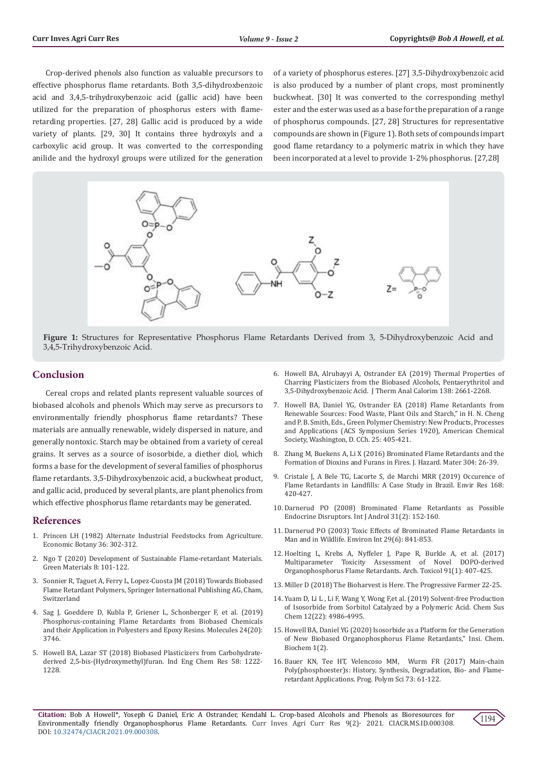Crop-derived phenols also function as valuable precursors to effective phosphorus flame retardants. Both 3,5-dihydroxbenzoic acid and 3,4,5-trihydroxybenzoic acid (gallic acid) have been utilized for the preparation of phosphorus esters with flameretarding properties. [27, 28] Gallic acid is produced by a wide variety of plants. [29, 30] It contains three hydroxyls and a carboxylic acid group. It was converted to the corresponding anilide and the hydroxyl groups were utilized for the generation

of a variety of phosphorus esteres. [27] 3,5-Dihydroxybenzoic acid is also produced by a number of plant crops, most prominently buckwheat. [30] It was converted to the corresponding methyl ester and the ester was used as a base for the preparation of a range of phosphorus compounds. [27, 28] Structures for representative compounds are shown in (Figure 1). Both sets of compounds impart good flame retardancy to a polymeric matrix in which they have been incorporated at a level to provide 1-2% phosphorus. [27,28]



**Figure 1:** Structures for Representative Phosphorus Flame Retardants Derived from 3, 5-Dihydroxybenzoic Acid and 3,4,5-Trihydroxybenzoic Acid.

#### **Conclusion**

Cereal crops and related plants represent valuable sources of biobased alcohols and phenols Which may serve as precursors to environmentally friendly phosphorus flame retardants? These materials are annually renewable, widely dispersed in nature, and generally nontoxic. Starch may be obtained from a variety of cereal grains. It serves as a source of isosorbide, a diether diol, which forms a base for the development of several families of phosphorus flame retardants. 3,5-Dihydroxybenzoic acid, a buckwheat product, and gallic acid, produced by several plants, are plant phenolics from which effective phosphorus flame retardants may be generated.

#### **References**

- 1. [Princen LH \(1982\) Alternate Industrial Feedstocks from Agriculture.](https://link.springer.com/article/10.1007/BF02858554)  [Economic Botany 36: 302-312.](https://link.springer.com/article/10.1007/BF02858554)
- 2. [Ngo T \(2020\) Development of Sustainable Flame-retardant Materials.](https://www.researchgate.net/publication/305430492_The_development_of_sustainable_fire_retardant_materials)  [Green Materials 8: 101-122.](https://www.researchgate.net/publication/305430492_The_development_of_sustainable_fire_retardant_materials)
- 3. [Sonnier R, Taguet A, Ferry L, Lopez-Cuosta JM \(2018\) Towards Biobased](https://www.worldcat.org/title/towards-bio-based-flame-retardant-polymers/oclc/1006417111)  [Flame Retardant Polymers, Springer International Publishing AG, Cham,](https://www.worldcat.org/title/towards-bio-based-flame-retardant-polymers/oclc/1006417111)  [Switzerland](https://www.worldcat.org/title/towards-bio-based-flame-retardant-polymers/oclc/1006417111)
- 4. [Sag J, Goeddere D, Kubla P, Griener L, Schonberger F, et al. \(2019\)](https://pubmed.ncbi.nlm.nih.gov/31627395/)  [Phosphorus-containing Flame Retardants from Biobased Chemicals](https://pubmed.ncbi.nlm.nih.gov/31627395/)  [and their Application in Polyesters and Epoxy Resins. Molecules 24\(20\):](https://pubmed.ncbi.nlm.nih.gov/31627395/)  [3746.](https://pubmed.ncbi.nlm.nih.gov/31627395/)
- 5. Howell BA, Lazar ST (2018) Biobased Plasticizers from Carbohydratederived 2,5-bis-(Hydroxymethyl)furan. Ind Eng Chem Res 58: 1222- 1228.
- 6. [Howell BA, Alrubayyi A, Ostrander EA \(2019\) Thermal Properties of](https://link.springer.com/article/10.1007/s10973-019-08311-8) [Charring Plasticizers from the Biobased Alcohols, Pentaerythritol and](https://link.springer.com/article/10.1007/s10973-019-08311-8) [3,5-Dihydroxybenzoic Acid. J Therm Anal Calorim 138: 2661-2268.](https://link.springer.com/article/10.1007/s10973-019-08311-8)
- 7. Howell BA, Daniel YG, Ostrander EA (2018) Flame Retardants from Renewable Sources: Food Waste, Plant Oils and Starch," in H. N. Cheng and P. B. Smith, Eds., Green Polymer Chemistry: New Products, Processes and Applications (ACS Symposium Series 1920), American Chemical Society, Washington, D. CCh. 25: 405-421.
- 8. [Zhang M, Buekens A, Li X \(2016\) Brominated Flame Retardants and the](https://pubmed.ncbi.nlm.nih.gov/26546701/) [Formation of Dioxins and Furans in Fires. J. Hazard. Mater 304: 26-39.](https://pubmed.ncbi.nlm.nih.gov/26546701/)
- 9. [Cristale J, A Bele TG, Lacorte S, de Marchi MRR \(2019\) Occurence of](https://pubmed.ncbi.nlm.nih.gov/30388499/) [Flame Retardants in Landfills: A Case Study in Brazil. Envir Res 168:](https://pubmed.ncbi.nlm.nih.gov/30388499/) [420-427.](https://pubmed.ncbi.nlm.nih.gov/30388499/)
- 10. Darnerud PO (2008) Brominated Flame Retardants as Possible Endocrine Disruptors. Int J Androl 31(2): 152-160.
- 11. Darnerud PO (2003) Toxic Effects of Brominated Flame Retardants in Man and in Wildlife. Environ Int 29(6): 841-853.
- 12. [Hoelting L, Krebs A, Nyffeler J, Pape R, Burkle A, et al. \(2017\)](https://pubmed.ncbi.nlm.nih.gov/26928308/) [Multiparameter Toxicity Assessment of Novel DOPO-derived](https://pubmed.ncbi.nlm.nih.gov/26928308/) [Organophosphorus Flame Retardants. Arch. Toxicol 91\(1\): 407-425.](https://pubmed.ncbi.nlm.nih.gov/26928308/)
- 13. [Miller D \(2018\) The Bioharvest is Here. The Progressive Farmer 22-25.](http://dtnpf-digital.com/publication/?i=495985&article_id=3086440&view=articleBrowser&ver=html5)
- 14. [Yuam D, Li L , Li F, Wang Y, Wong F,et al. \(2019\) Solvent-free Production](https://pubmed.ncbi.nlm.nih.gov/31475463/) [of Isosorbide from Sorbitol Catalyzed by a Polymeric Acid. Chem Sus](https://pubmed.ncbi.nlm.nih.gov/31475463/) [Chem 12\(22\): 4986-4995.](https://pubmed.ncbi.nlm.nih.gov/31475463/)
- 15. Howell BA, Daniel YG (2020) Isosorbide as a Platform for the Generation of New Biobased Organophosphorus Flame Retardants," Insi. Chem. Biochem 1(2).
- 16. [Bauer KN, Tee HT, Velencoso MM, Wurm FR \(2017\) Main-chain](https://www.researchgate.net/publication/317274643_Main-chain_polyphosphoesters_History_syntheses_degradation_bio-and_flame-retardant_applications) [Poly\(phosphoester\)s: History, Synthesis, Degradation, Bio- and Flame](https://www.researchgate.net/publication/317274643_Main-chain_polyphosphoesters_History_syntheses_degradation_bio-and_flame-retardant_applications)[retardant Applications. Prog. Polym Sci 73: 61-122.](https://www.researchgate.net/publication/317274643_Main-chain_polyphosphoesters_History_syntheses_degradation_bio-and_flame-retardant_applications)

**Citation:** Bob A Howell\*, Yoseph G Daniel, Eric A Ostrander, Kendahl L. Crop-based Alcohols and Phenols as Bioresources for Environmentally friendly Organophosphorus Flame Retardants. Curr Inves Agri Curr Res 9(2)- 2021. CIACR.MS.ID.000308. DOI: [10.32474/CIACR.2021.09.000308](http://dx.doi.org/10.32474/CIACR.2021.09.000308).